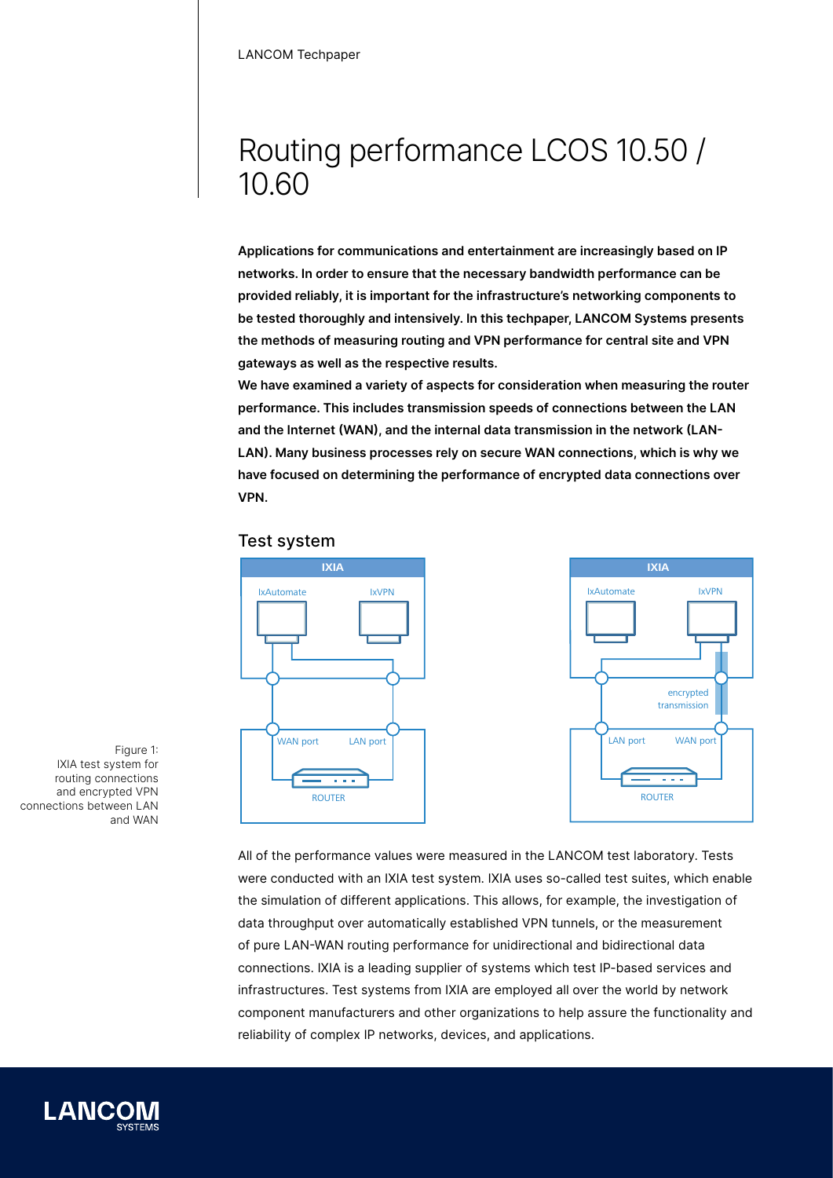# Routing performance LCOS 10.50 / 10.60

**Applications for communications and entertainment are increasingly based on IP networks. In order to ensure that the necessary bandwidth performance can be provided reliably, it is important for the infrastructure's networking components to be tested thoroughly and intensively. In this techpaper, LANCOM Systems presents the methods of measuring routing and VPN performance for central site and VPN gateways as well as the respective results.**

**We have examined a variety of aspects for consideration when measuring the router performance. This includes transmission speeds of connections between the LAN and the Internet (WAN), and the internal data transmission in the network (LAN-LAN). Many business processes rely on secure WAN connections, which is why we have focused on determining the performance of encrypted data connections over VPN.**

### Test system



All of the performance values were measured in the LANCOM test laboratory. Tests were conducted with an IXIA test system. IXIA uses so-called test suites, which enable the simulation of different applications. This allows, for example, the investigation of data throughput over automatically established VPN tunnels, or the measurement of pure LAN-WAN routing performance for unidirectional and bidirectional data connections. IXIA is a leading supplier of systems which test IP-based services and infrastructures. Test systems from IXIA are employed all over the world by network component manufacturers and other organizations to help assure the functionality and reliability of complex IP networks, devices, and applications.

Figure 1: IXIA test system for routing connections and encrypted VPN connections between LAN and WAN

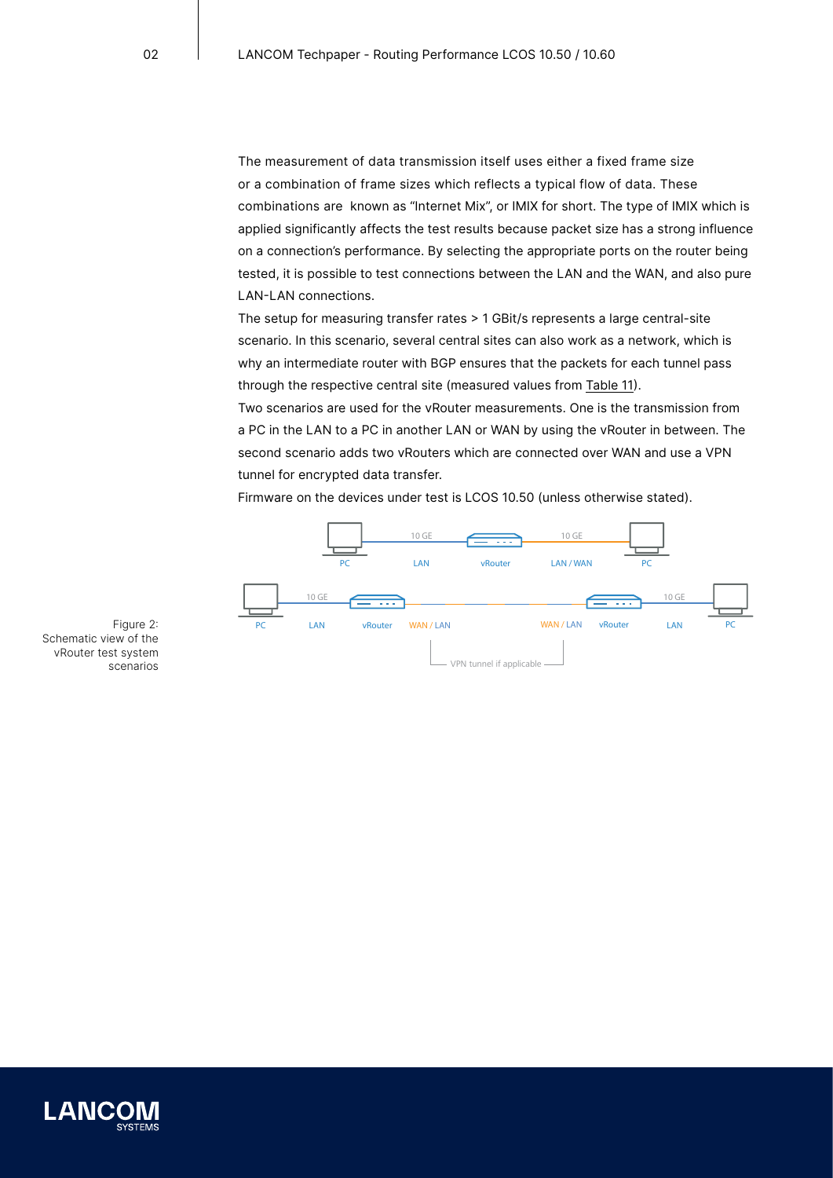The measurement of data transmission itself uses either a fixed frame size or a combination of frame sizes which reflects a typical flow of data. These combinations are known as "Internet Mix", or IMIX for short. The type of IMIX which is applied significantly affects the test results because packet size has a strong influence on a connection's performance. By selecting the appropriate ports on the router being tested, it is possible to test connections between the LAN and the WAN, and also pure LAN-LAN connections.

The setup for measuring transfer rates > 1 GBit/s represents a large central-site scenario. In this scenario, several central sites can also work as a network, which is why an intermediate router with BGP ensures that the packets for each tunnel pass through the respective central site (measured values from [Table 11\)](#page-10-0).

Two scenarios are used for the vRouter measurements. One is the transmission from a PC in the LAN to a PC in another LAN or WAN by using the vRouter in between. The second scenario adds two vRouters which are connected over WAN and use a VPN tunnel for encrypted data transfer.

Firmware on the devices under test is LCOS 10.50 (unless otherwise stated).



Figure 2: Schematic view of the vRouter test system scenarios

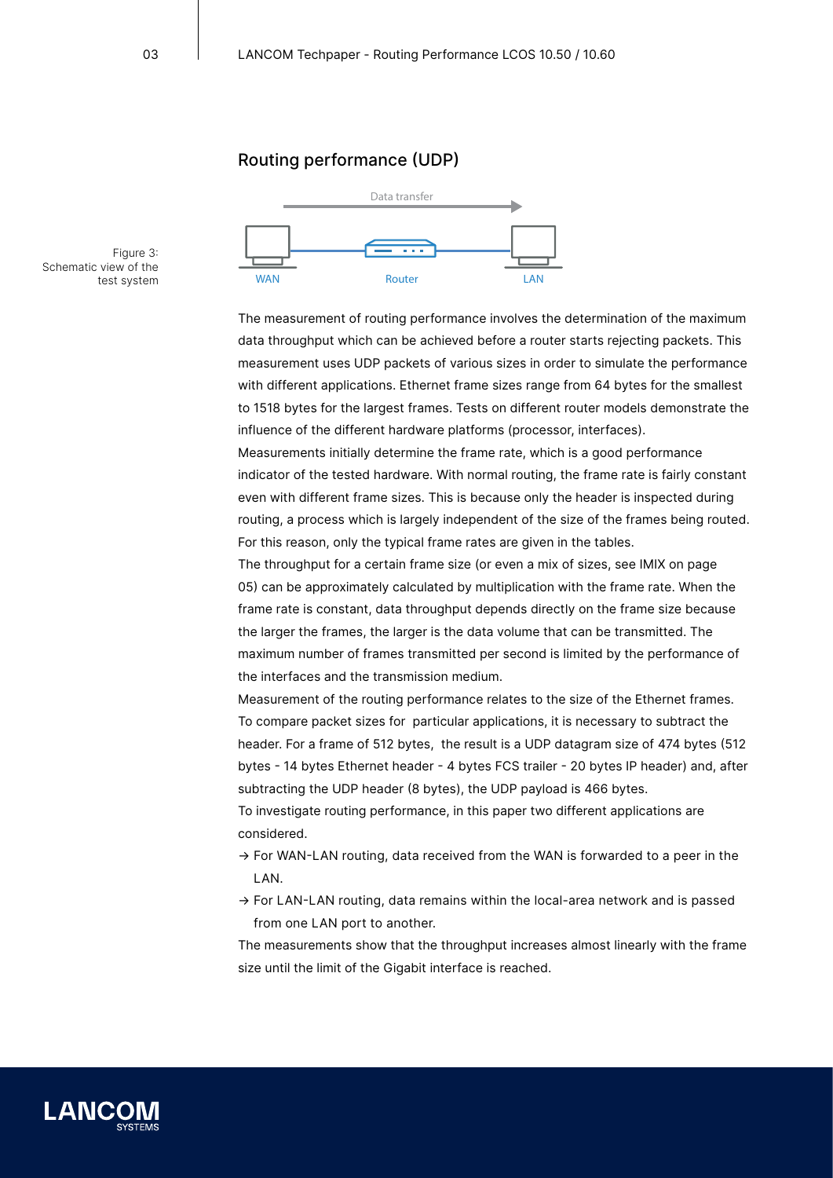# Routing performance (UDP)



Figure 3: Schematic view of the test system WAN

> The measurement of routing performance involves the determination of the maximum data throughput which can be achieved before a router starts rejecting packets. This measurement uses UDP packets of various sizes in order to simulate the performance with different applications. Ethernet frame sizes range from 64 bytes for the smallest to 1518 bytes for the largest frames. Tests on different router models demonstrate the influence of the different hardware platforms (processor, interfaces). Measurements initially determine the frame rate, which is a good performance indicator of the tested hardware. With normal routing, the frame rate is fairly constant

> even with different frame sizes. This is because only the header is inspected during routing, a process which is largely independent of the size of the frames being routed. For this reason, only the typical frame rates are given in the tables.

The throughput for a certain frame size (or even a mix of sizes, see IMIX on [page](#page-4-0)  [05](#page-4-0)) can be approximately calculated by multiplication with the frame rate. When the frame rate is constant, data throughput depends directly on the frame size because the larger the frames, the larger is the data volume that can be transmitted. The maximum number of frames transmitted per second is limited by the performance of the interfaces and the transmission medium.

Measurement of the routing performance relates to the size of the Ethernet frames. To compare packet sizes for particular applications, it is necessary to subtract the header. For a frame of 512 bytes, the result is a UDP datagram size of 474 bytes (512 bytes - 14 bytes Ethernet header - 4 bytes FCS trailer - 20 bytes IP header) and, after subtracting the UDP header (8 bytes), the UDP payload is 466 bytes. To investigate routing performance, in this paper two different applications are

considered.

- $\rightarrow$  For WAN-LAN routing, data received from the WAN is forwarded to a peer in the LAN.
- $\rightarrow$  For LAN-LAN routing, data remains within the local-area network and is passed from one LAN port to another.

The measurements show that the throughput increases almost linearly with the frame size until the limit of the Gigabit interface is reached.

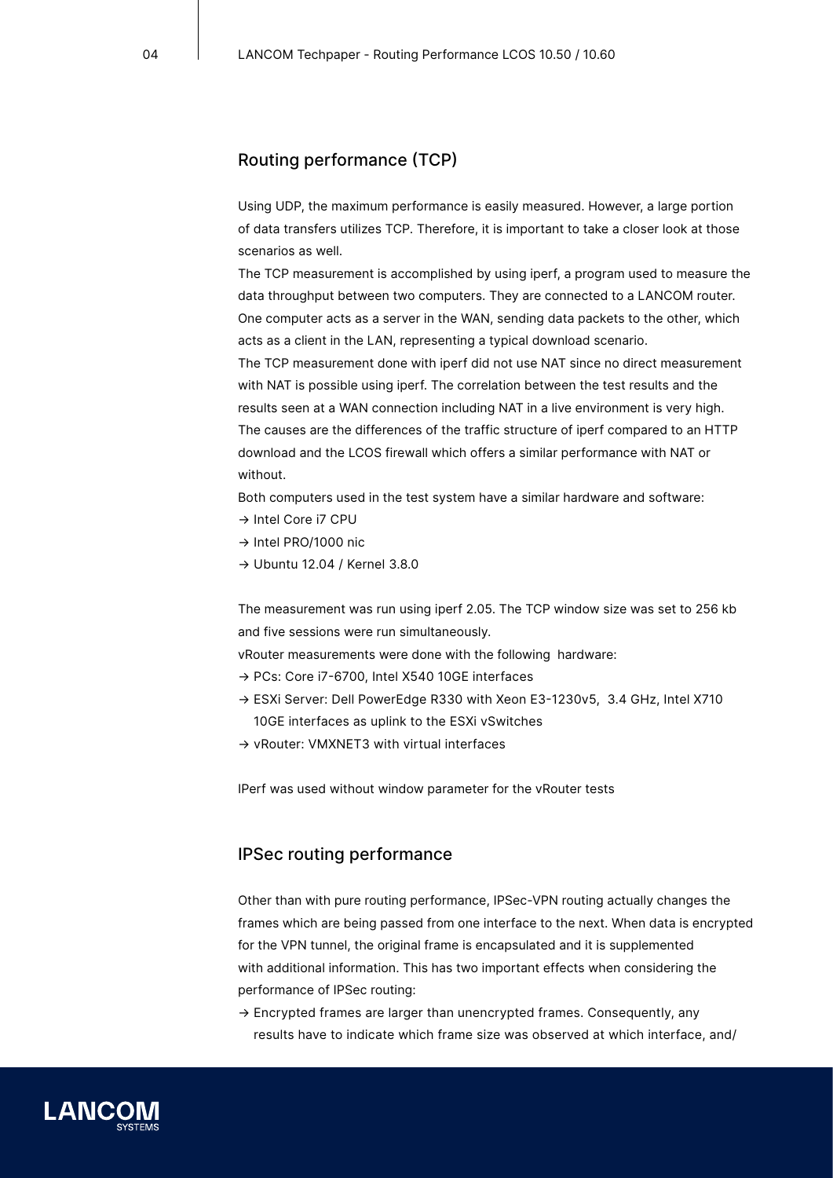# Routing performance (TCP)

Using UDP, the maximum performance is easily measured. However, a large portion of data transfers utilizes TCP. Therefore, it is important to take a closer look at those scenarios as well.

The TCP measurement is accomplished by using iperf, a program used to measure the data throughput between two computers. They are connected to a LANCOM router. One computer acts as a server in the WAN, sending data packets to the other, which acts as a client in the LAN, representing a typical download scenario.

The TCP measurement done with iperf did not use NAT since no direct measurement with NAT is possible using iperf. The correlation between the test results and the results seen at a WAN connection including NAT in a live environment is very high. The causes are the differences of the traffic structure of iperf compared to an HTTP download and the LCOS firewall which offers a similar performance with NAT or without.

Both computers used in the test system have a similar hardware and software:

- → Intel Core i7 CPU
- → Intel PRO/1000 nic
- → Ubuntu 12.04 / Kernel 3.8.0

The measurement was run using iperf 2.05. The TCP window size was set to 256 kb and five sessions were run simultaneously.

vRouter measurements were done with the following hardware:

- → PCs: Core i7-6700, Intel X540 10GE interfaces
- → ESXi Server: Dell PowerEdge R330 with Xeon E3-1230v5, 3.4 GHz, Intel X710 10GE interfaces as uplink to the ESXi vSwitches
- → vRouter: VMXNET3 with virtual interfaces

IPerf was used without window parameter for the vRouter tests

# IPSec routing performance

Other than with pure routing performance, IPSec-VPN routing actually changes the frames which are being passed from one interface to the next. When data is encrypted for the VPN tunnel, the original frame is encapsulated and it is supplemented with additional information. This has two important effects when considering the performance of IPSec routing:

→ Encrypted frames are larger than unencrypted frames. Consequently, any results have to indicate which frame size was observed at which interface, and/

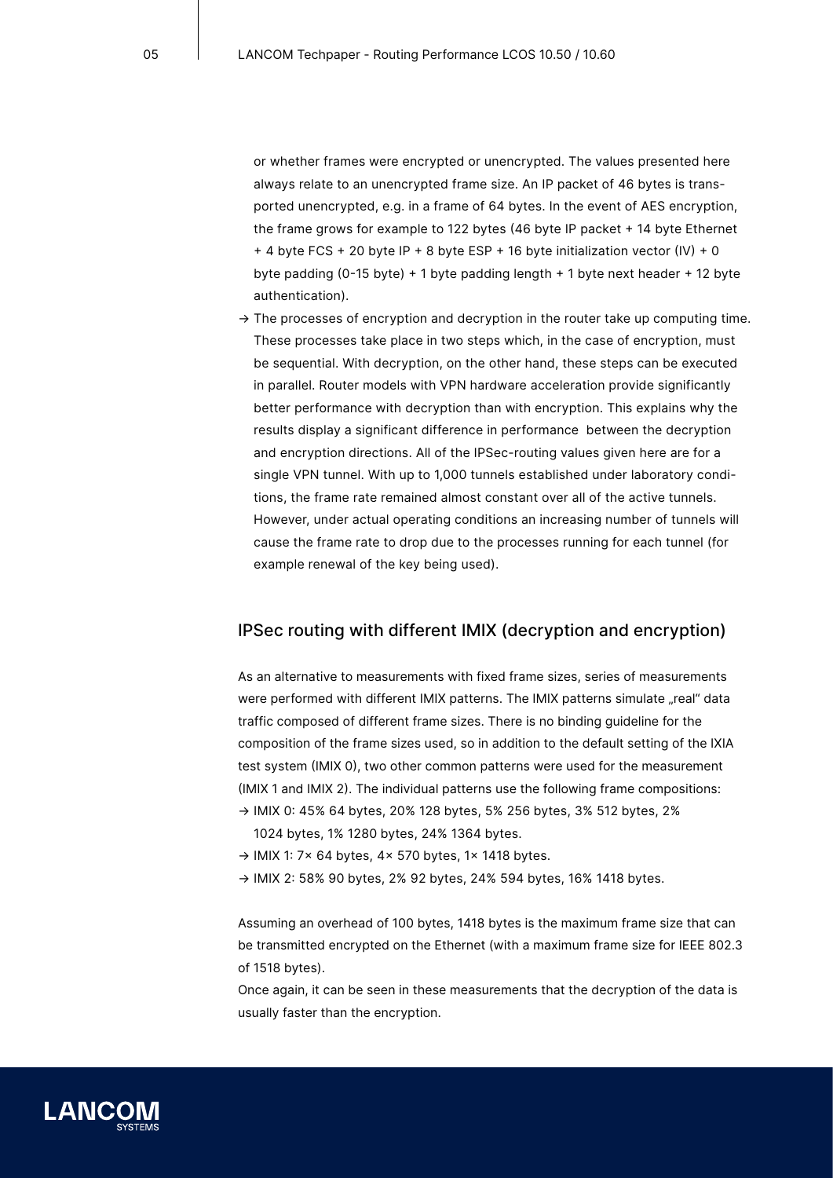or whether frames were encrypted or unencrypted. The values presented here always relate to an unencrypted frame size. An IP packet of 46 bytes is transported unencrypted, e.g. in a frame of 64 bytes. In the event of AES encryption, the frame grows for example to 122 bytes (46 byte IP packet + 14 byte Ethernet + 4 byte FCS + 20 byte IP + 8 byte ESP + 16 byte initialization vector (IV) + 0 byte padding (0-15 byte) + 1 byte padding length + 1 byte next header + 12 byte authentication).

 $\rightarrow$  The processes of encryption and decryption in the router take up computing time. These processes take place in two steps which, in the case of encryption, must be sequential. With decryption, on the other hand, these steps can be executed in parallel. Router models with VPN hardware acceleration provide significantly better performance with decryption than with encryption. This explains why the results display a significant difference in performance between the decryption and encryption directions. All of the IPSec-routing values given here are for a single VPN tunnel. With up to 1,000 tunnels established under laboratory conditions, the frame rate remained almost constant over all of the active tunnels. However, under actual operating conditions an increasing number of tunnels will cause the frame rate to drop due to the processes running for each tunnel (for example renewal of the key being used).

### <span id="page-4-0"></span>IPSec routing with different IMIX (decryption and encryption)

As an alternative to measurements with fixed frame sizes, series of measurements were performed with different IMIX patterns. The IMIX patterns simulate "real" data traffic composed of different frame sizes. There is no binding guideline for the composition of the frame sizes used, so in addition to the default setting of the IXIA test system (IMIX 0), two other common patterns were used for the measurement (IMIX 1 and IMIX 2). The individual patterns use the following frame compositions: → IMIX 0: 45% 64 bytes, 20% 128 bytes, 5% 256 bytes, 3% 512 bytes, 2%

- 1024 bytes, 1% 1280 bytes, 24% 1364 bytes.
- → IMIX 1: 7x 64 bytes, 4x 570 bytes, 1x 1418 bytes.
- → IMIX 2: 58% 90 bytes, 2% 92 bytes, 24% 594 bytes, 16% 1418 bytes.

Assuming an overhead of 100 bytes, 1418 bytes is the maximum frame size that can be transmitted encrypted on the Ethernet (with a maximum frame size for IEEE 802.3 of 1518 bytes).

Once again, it can be seen in these measurements that the decryption of the data is usually faster than the encryption.

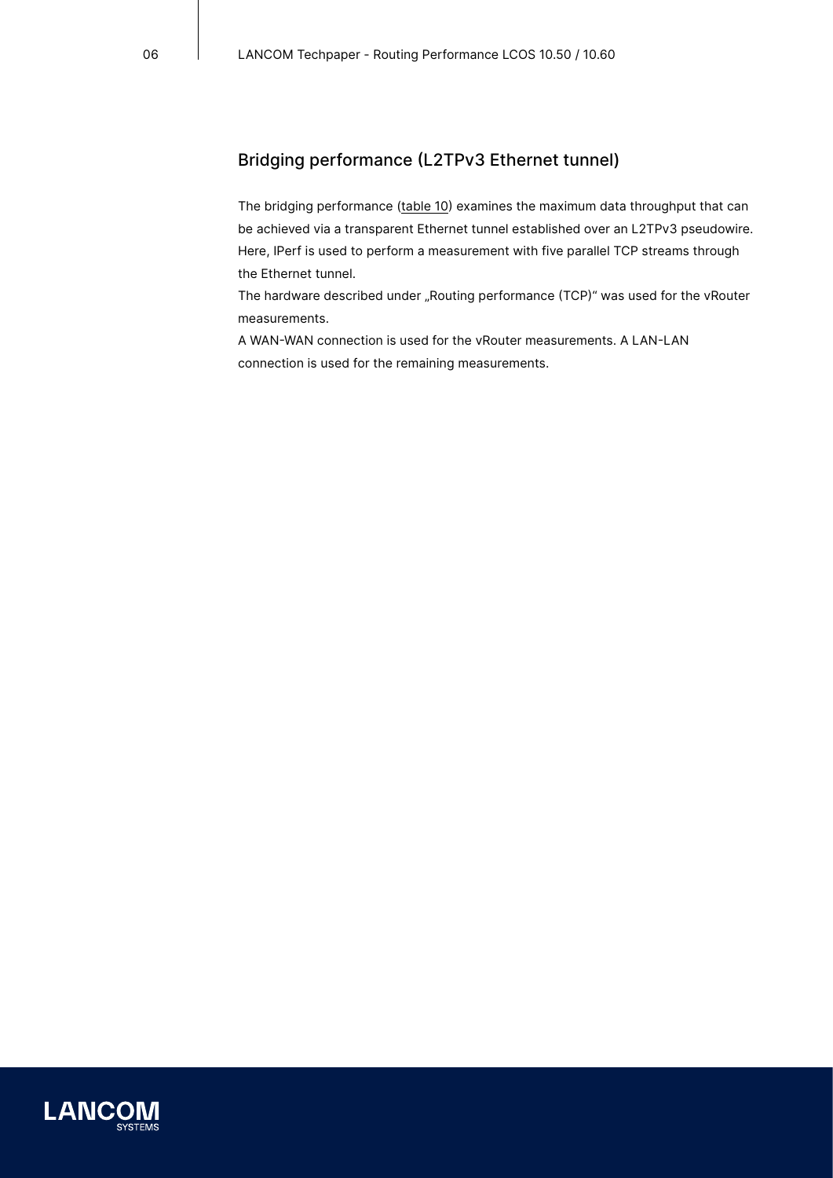# Bridging performance (L2TPv3 Ethernet tunnel)

The bridging performance ([table 10\)](#page-9-0) examines the maximum data throughput that can be achieved via a transparent Ethernet tunnel established over an L2TPv3 pseudowire. Here, IPerf is used to perform a measurement with five parallel TCP streams through the Ethernet tunnel.

The hardware described under "Routing performance (TCP)" was used for the vRouter measurements.

A WAN-WAN connection is used for the vRouter measurements. A LAN-LAN connection is used for the remaining measurements.

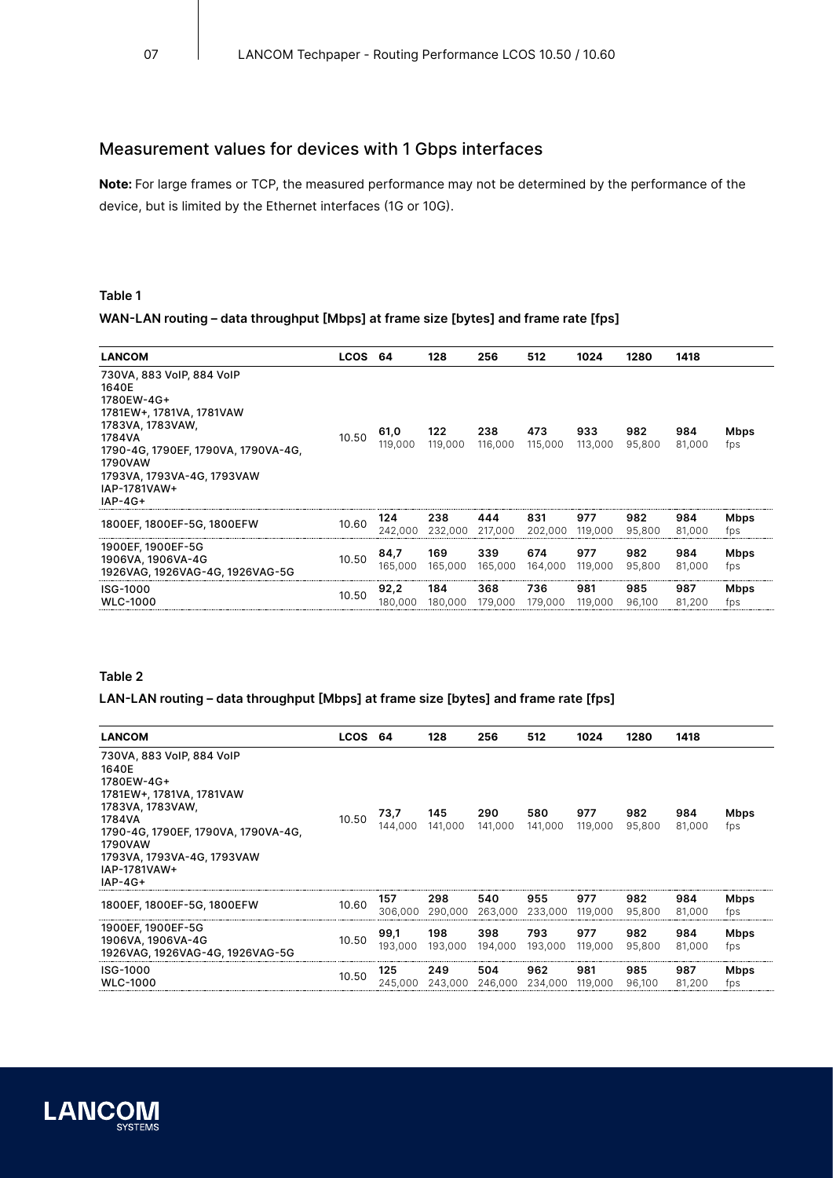# Measurement values for devices with 1 Gbps interfaces

**Note:** For large frames or TCP, the measured performance may not be determined by the performance of the device, but is limited by the Ethernet interfaces (1G or 10G).

### **Table 1**

### **WAN-LAN routing – data throughput [Mbps] at frame size [bytes] and frame rate [fps]**

| <b>LANCOM</b>                                                                                                                                                                                                           | <b>LCOS</b> | -64             | 128            | 256            | 512            | 1024           | 1280          | 1418          |                    |
|-------------------------------------------------------------------------------------------------------------------------------------------------------------------------------------------------------------------------|-------------|-----------------|----------------|----------------|----------------|----------------|---------------|---------------|--------------------|
| 730VA, 883 VoIP, 884 VoIP<br>1640E<br>1780EW-4G+<br>1781EW+, 1781VA, 1781VAW<br>1783VA, 1783VAW,<br>1784VA<br>1790-4G, 1790EF, 1790VA, 1790VA-4G,<br>1790VAW<br>1793VA, 1793VA-4G, 1793VAW<br>IAP-1781VAW+<br>$IAP-4G+$ | 10.50       | 61,0<br>119,000 | 122<br>119,000 | 238<br>116,000 | 473<br>115,000 | 933<br>113,000 | 982<br>95,800 | 984<br>81,000 | <b>Mbps</b><br>fps |
| 1800EF, 1800EF-5G, 1800EFW                                                                                                                                                                                              | 10.60       | 124<br>242.000  | 238<br>232.000 | 444<br>217,000 | 831<br>202,000 | 977<br>119,000 | 982<br>95,800 | 984<br>81.000 | Mbps<br>fps        |
| 1900EF, 1900EF-5G<br>1906VA, 1906VA-4G<br>1926VAG, 1926VAG-4G, 1926VAG-5G                                                                                                                                               | 10.50       | 84,7<br>165,000 | 169<br>165,000 | 339<br>165,000 | 674<br>164,000 | 977<br>119,000 | 982<br>95,800 | 984<br>81.000 | <b>Mbps</b><br>fps |
| ISG-1000<br><b>WLC-1000</b>                                                                                                                                                                                             | 10.50       | 92.2<br>180.000 | 184<br>180,000 | 368<br>179,000 | 736<br>179,000 | 981<br>119,000 | 985<br>96.100 | 987<br>81,200 | Mbps<br>fps        |

### **Table 2**

### **LAN-LAN routing – data throughput [Mbps] at frame size [bytes] and frame rate [fps]**

| <b>LANCOM</b>                                                                                                                                                                                                           | <b>LCOS</b> | -64             | 128            | 256            | 512            | 1024           | 1280          | 1418          |                    |
|-------------------------------------------------------------------------------------------------------------------------------------------------------------------------------------------------------------------------|-------------|-----------------|----------------|----------------|----------------|----------------|---------------|---------------|--------------------|
| 730VA, 883 VoIP, 884 VoIP<br>1640E<br>1780EW-4G+<br>1781EW+, 1781VA, 1781VAW<br>1783VA, 1783VAW,<br>1784VA<br>1790-4G, 1790EF, 1790VA, 1790VA-4G,<br>1790VAW<br>1793VA, 1793VA-4G, 1793VAW<br>IAP-1781VAW+<br>$IAP-4G+$ | 10.50       | 73,7<br>144.000 | 145<br>141.000 | 290<br>141.000 | 580<br>141.000 | 977<br>119,000 | 982<br>95,800 | 984<br>81.000 | Mbps<br>fps        |
| 1800EF, 1800EF-5G, 1800EFW                                                                                                                                                                                              | 10.60       | 157<br>306,000  | 298<br>290,000 | 540<br>263,000 | 955<br>233,000 | 977<br>119,000 | 982<br>95,800 | 984<br>81.000 | Mbps<br>fps        |
| 1900EF, 1900EF-5G<br>1906VA, 1906VA-4G<br>1926VAG, 1926VAG-4G, 1926VAG-5G                                                                                                                                               | 10.50       | 99,1<br>193,000 | 198<br>193,000 | 398<br>194,000 | 793<br>193,000 | 977<br>119,000 | 982<br>95,800 | 984<br>81.000 | <b>Mbps</b><br>fps |
| ISG-1000<br><b>WLC-1000</b>                                                                                                                                                                                             | 10.50       | 125<br>245.000  | 249<br>243.000 | 504<br>246,000 | 962<br>234,000 | 981<br>119,000 | 985<br>96,100 | 987<br>81,200 | Mbps<br>fps        |

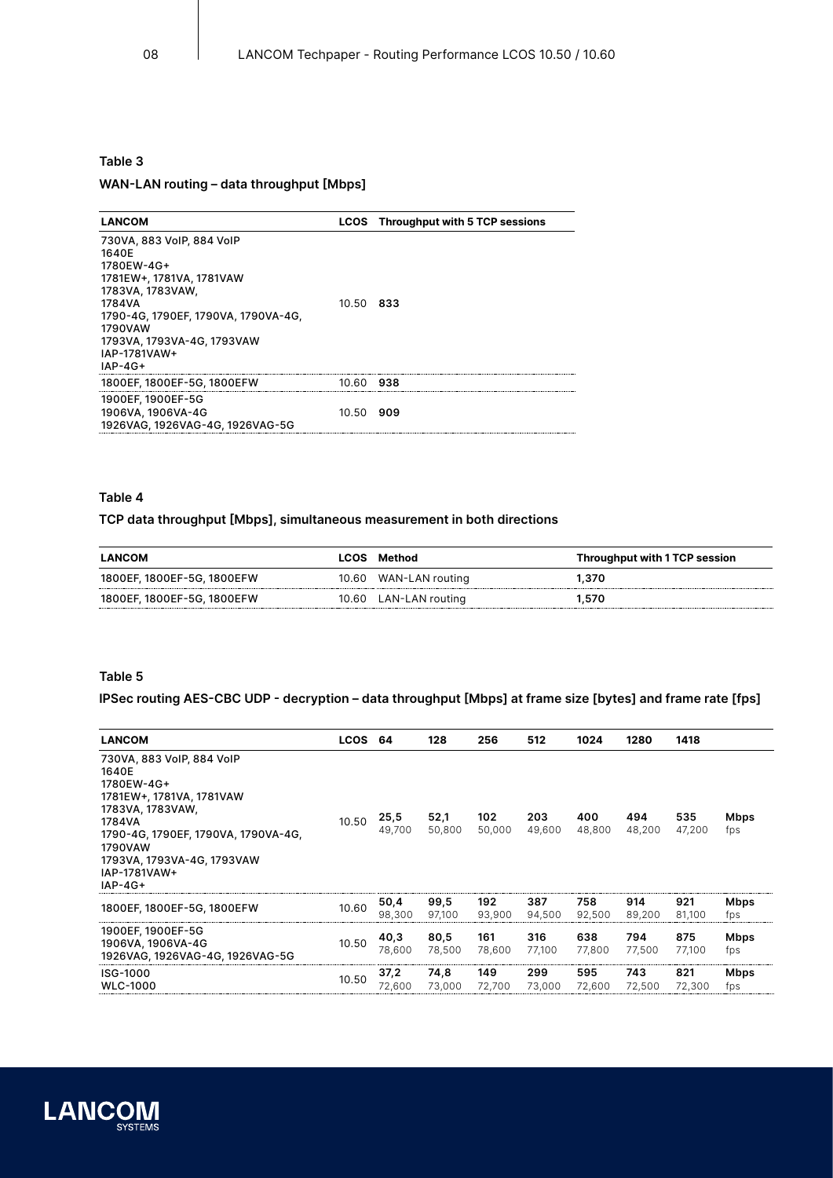# **Table 3 WAN-LAN routing – data throughput [Mbps]**

| <b>LANCOM</b>                                                                                                                                                                                                           |           | <b>LCOS</b> Throughput with 5 TCP sessions |
|-------------------------------------------------------------------------------------------------------------------------------------------------------------------------------------------------------------------------|-----------|--------------------------------------------|
| 730VA, 883 VoIP, 884 VoIP<br>1640E<br>1780EW-4G+<br>1781EW+, 1781VA, 1781VAW<br>1783VA, 1783VAW,<br>1784VA<br>1790-4G, 1790EF, 1790VA, 1790VA-4G,<br>1790VAW<br>1793VA, 1793VA-4G, 1793VAW<br>IAP-1781VAW+<br>$IAP-4G+$ | 10.50 833 |                                            |
| 1800EF, 1800EF-5G, 1800EFW                                                                                                                                                                                              | 10.60 938 |                                            |
| 1900EF, 1900EF-5G<br>1906VA, 1906VA-4G<br>1926VAG, 1926VAG-4G, 1926VAG-5G                                                                                                                                               | 10.50 909 |                                            |

### **Table 4**

### **TCP data throughput [Mbps], simultaneous measurement in both directions**

| <b>LANCOM</b>              |       | <b>LCOS Method</b> | Throughput with 1 TCP session |
|----------------------------|-------|--------------------|-------------------------------|
| 1800EF, 1800EF-5G, 1800EFW | 10.60 | WAN-LAN routing    | 1.370                         |
| 1800EF, 1800EF-5G, 1800EFW | 10.60 | LAN-LAN routing    | ∣.570                         |

### **Table 5**

### **IPSec routing AES-CBC UDP - decryption – data throughput [Mbps] at frame size [bytes] and frame rate [fps]**

| <b>LANCOM</b>                                                                                                                                                                                                           | LCOS 64 |                | 128            | 256           | 512           | 1024          | 1280          | 1418          |             |
|-------------------------------------------------------------------------------------------------------------------------------------------------------------------------------------------------------------------------|---------|----------------|----------------|---------------|---------------|---------------|---------------|---------------|-------------|
| 730VA, 883 VoIP, 884 VoIP<br>1640E<br>1780EW-4G+<br>1781EW+, 1781VA, 1781VAW<br>1783VA, 1783VAW,<br>1784VA<br>1790-4G, 1790EF, 1790VA, 1790VA-4G,<br>1790VAW<br>1793VA, 1793VA-4G, 1793VAW<br>IAP-1781VAW+<br>$IAP-4G+$ | 10.50   | 25,5<br>49,700 | 52,1<br>50,800 | 102<br>50,000 | 203<br>49,600 | 400<br>48,800 | 494<br>48,200 | 535<br>47,200 | Mbps<br>fps |
| 1800EF, 1800EF-5G, 1800EFW                                                                                                                                                                                              | 10.60   | 50,4<br>98.300 | 99,5<br>97.100 | 192<br>93.900 | 387<br>94.500 | 758<br>92,500 | 914<br>89,200 | 921<br>81.100 | Mbps<br>fps |
| 1900EF, 1900EF-5G<br>1906VA, 1906VA-4G<br>1926VAG, 1926VAG-4G, 1926VAG-5G                                                                                                                                               | 10.50   | 40,3<br>78,600 | 80,5<br>78,500 | 161<br>78.600 | 316<br>77,100 | 638<br>77,800 | 794<br>77,500 | 875<br>77,100 | Mbps<br>fps |
| ISG-1000<br><b>WLC-1000</b>                                                                                                                                                                                             | 10.50   | 37,2<br>72,600 | 74,8<br>73,000 | 149<br>72,700 | 299<br>73,000 | 595<br>72,600 | 743<br>72,500 | 821<br>72,300 | Mbps<br>fps |

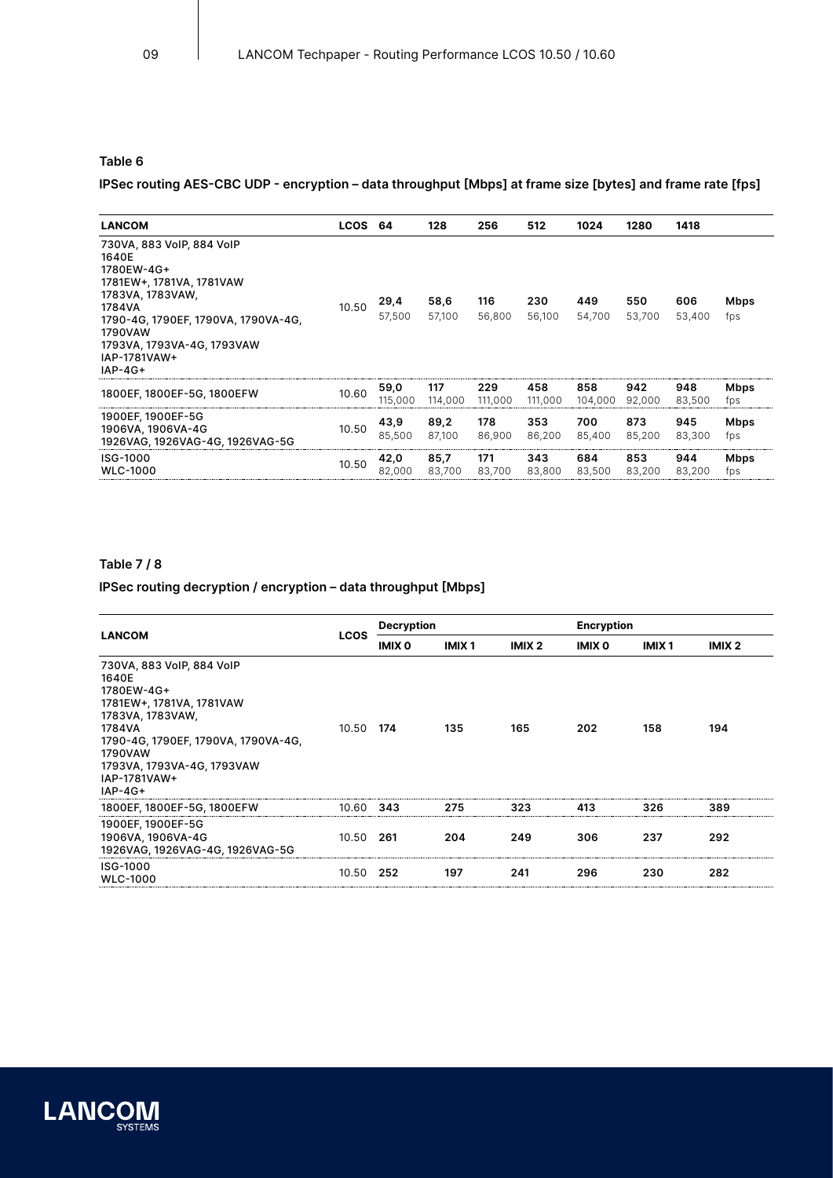### **Table 6**

## **IPSec routing AES-CBC UDP - encryption – data throughput [Mbps] at frame size [bytes] and frame rate [fps]**

| <b>LANCOM</b>                                                                                                                                                                                                           | <b>LCOS</b> | - 64            | 128            | 256            | 512            | 1024           | 1280          | 1418          |                    |
|-------------------------------------------------------------------------------------------------------------------------------------------------------------------------------------------------------------------------|-------------|-----------------|----------------|----------------|----------------|----------------|---------------|---------------|--------------------|
| 730VA, 883 VoIP, 884 VoIP<br>1640E<br>1780EW-4G+<br>1781EW+, 1781VA, 1781VAW<br>1783VA, 1783VAW,<br>1784VA<br>1790-4G, 1790EF, 1790VA, 1790VA-4G,<br>1790VAW<br>1793VA, 1793VA-4G, 1793VAW<br>IAP-1781VAW+<br>$IAP-4G+$ | 10.50       | 29,4<br>57,500  | 58,6<br>57,100 | 116<br>56,800  | 230<br>56,100  | 449<br>54,700  | 550<br>53.700 | 606<br>53,400 | Mbps<br>fps        |
| 1800EF, 1800EF-5G, 1800EFW                                                                                                                                                                                              | 10.60       | 59,0<br>115,000 | 117<br>114,000 | 229<br>111,000 | 458<br>111,000 | 858<br>104,000 | 942<br>92,000 | 948<br>83,500 | <b>Mbps</b><br>fps |
| 1900EF, 1900EF-5G<br>1906VA, 1906VA-4G<br>1926VAG, 1926VAG-4G, 1926VAG-5G                                                                                                                                               | 10.50       | 43,9<br>85.500  | 89,2<br>87.100 | 178<br>86,900  | 353<br>86.200  | 700<br>85,400  | 873<br>85,200 | 945<br>83.300 | <b>Mbps</b><br>fps |
| ISG-1000<br><b>WLC-1000</b>                                                                                                                                                                                             | 10.50       | 42,0<br>82.000  | 85,7<br>83.700 | 171<br>83.700  | 343<br>83,800  | 684<br>83,500  | 853<br>83.200 | 944<br>83.200 | Mbps<br>fps        |

### **Table 7 / 8**

### **IPSec routing decryption / encryption – data throughput [Mbps]**

| <b>LANCOM</b>                                                                                                                                                                                                           | <b>LCOS</b> | <b>Decryption</b> |              |                   | <b>Encryption</b> |              |                   |  |
|-------------------------------------------------------------------------------------------------------------------------------------------------------------------------------------------------------------------------|-------------|-------------------|--------------|-------------------|-------------------|--------------|-------------------|--|
|                                                                                                                                                                                                                         |             | IMIX 0            | <b>IMIX1</b> | IMIX <sub>2</sub> | IMIX 0            | <b>IMIX1</b> | IMIX <sub>2</sub> |  |
| 730VA, 883 VoIP, 884 VoIP<br>1640E<br>1780EW-4G+<br>1781EW+, 1781VA, 1781VAW<br>1783VA, 1783VAW,<br>1784VA<br>1790-4G, 1790EF, 1790VA, 1790VA-4G,<br>1790VAW<br>1793VA, 1793VA-4G, 1793VAW<br>IAP-1781VAW+<br>$IAP-4G+$ | 10.50 174   |                   | 135          | 165               | 202               | 158          | 194               |  |
| 1800EF, 1800EF-5G, 1800EFW                                                                                                                                                                                              | 10 60       | 343               | 275          | 323               | 413               | 326          | 389               |  |
| 1900EF, 1900EF-5G<br>1906VA, 1906VA-4G<br>1926VAG, 1926VAG-4G, 1926VAG-5G                                                                                                                                               | 10.50       | 261               | 204          | 249               | 306               | 237          | 292               |  |
| ISG-1000<br><b>WLC-1000</b>                                                                                                                                                                                             | 10.50       | 252               | 197          | 241               | 296               | 230          | 282               |  |

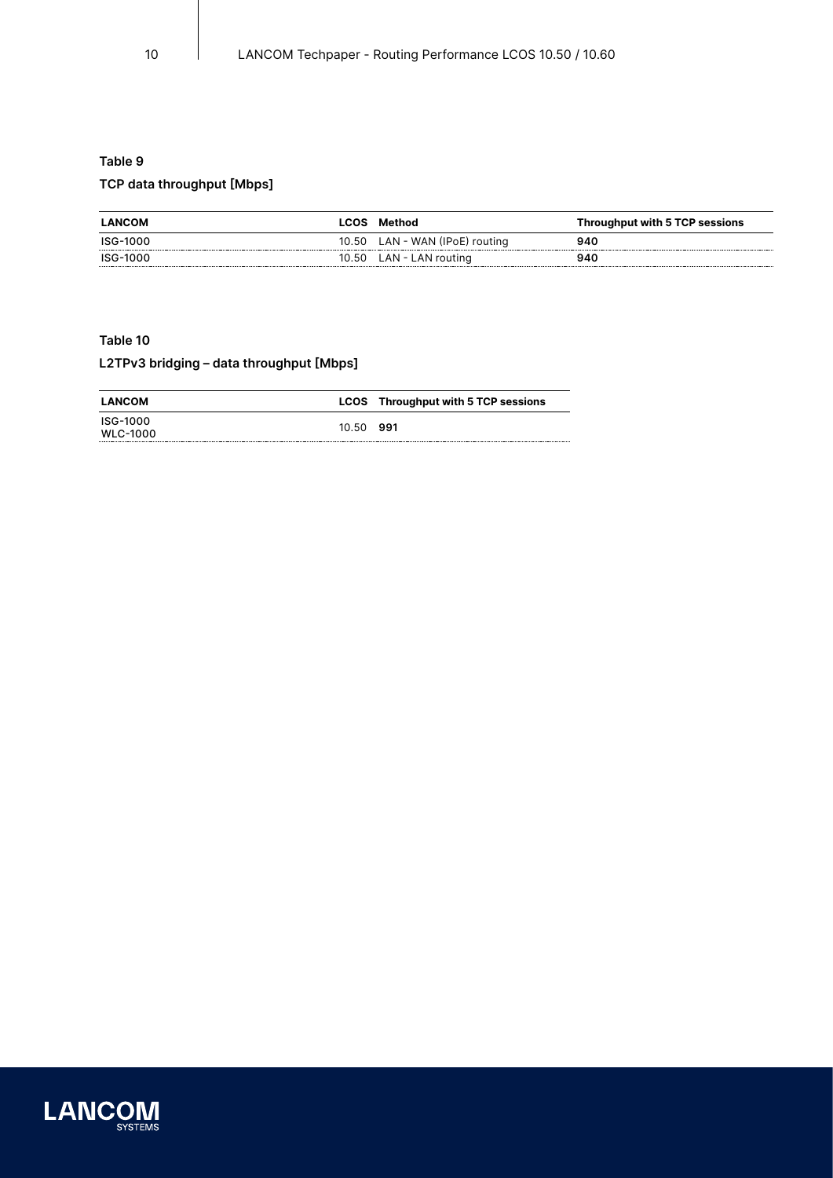# **Table 9 TCP data throughput [Mbps]**

| <b>LANCOM</b> | LCOS   | Method                   | Throughput with 5 TCP sessions |
|---------------|--------|--------------------------|--------------------------------|
| ISG-1000      | 10.50  | LAN - WAN (IPoE) routing | 940                            |
| ISG-1000      | 10.50. | LAN - LAN routina        | 940                            |

### <span id="page-9-0"></span>**Table 10**

## **L2TPv3 bridging – data throughput [Mbps]**

| <b>LANCOM</b>        |       | <b>LCOS</b> Throughput with 5 TCP sessions |
|----------------------|-------|--------------------------------------------|
| ISG-1000<br>WLC-1000 | 10.50 | 991                                        |

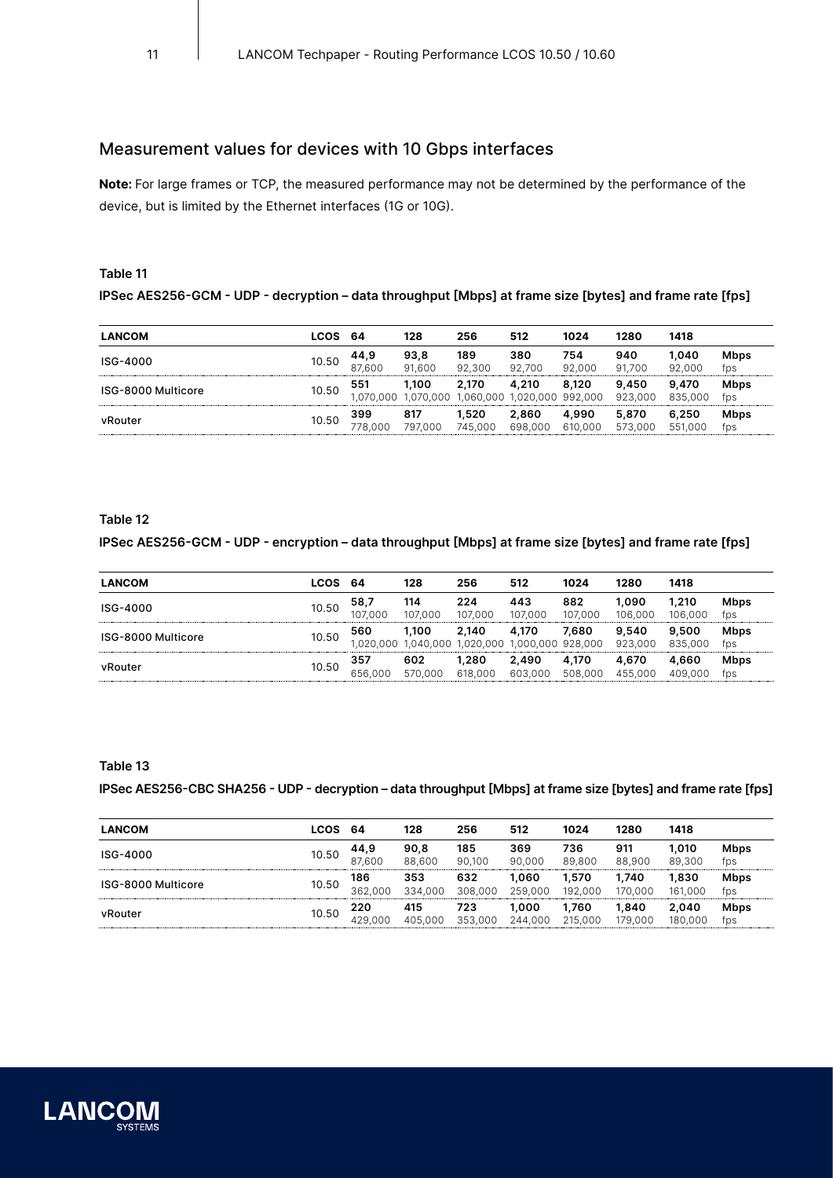# Measurement values for devices with 10 Gbps interfaces

**Note:** For large frames or TCP, the measured performance may not be determined by the performance of the device, but is limited by the Ethernet interfaces (1G or 10G).

### <span id="page-10-0"></span>**Table 11**

### **IPSec AES256-GCM - UDP - decryption – data throughput [Mbps] at frame size [bytes] and frame rate [fps]**

| <b>LANCOM</b>      | LCOS  | -64            | 128               | 256                | 512                | 1024             | 1280             | 1418             |                    |
|--------------------|-------|----------------|-------------------|--------------------|--------------------|------------------|------------------|------------------|--------------------|
| ISG-4000           | 10.50 | 44.9<br>87.600 | 93.8<br>91.600    | 189<br>92.300      | 380<br>92.700      | 754<br>92.000    | 940<br>91.700    | 1.040<br>92.000  | <b>Mbps</b><br>fps |
| ISG-8000 Multicore | 10.50 | 551<br>.000    | 1.100<br>.070.000 | 2.170<br>1.060.000 | 4.210<br>1.020.000 | 8.120<br>992.000 | 9.450<br>923,000 | 9.470<br>835,000 | <b>Mbps</b><br>fps |
| vRouter            | 10.50 | 399<br>778.000 | 817<br>797.000    | .520<br>745.000    | 2.860<br>698,000   | 4.990<br>610,000 | 5.870<br>573.000 | 6.250<br>551,000 | <b>Mbps</b><br>fps |

### **Table 12**

### **IPSec AES256-GCM - UDP - encryption – data throughput [Mbps] at frame size [bytes] and frame rate [fps]**

| <b>LANCOM</b>      | LCOS  | -64               | 128                  | 256               | 512                      | 1024             | 1280             | 1418             |                    |
|--------------------|-------|-------------------|----------------------|-------------------|--------------------------|------------------|------------------|------------------|--------------------|
| ISG-4000           | 10.50 | 58.7<br>:00C      | 114<br>107.000       | 224<br>107.000    | 443<br>107.000           | 882<br>107.000   | .090<br>106.000  | 1.210<br>106.000 | <b>Mbps</b><br>fps |
| ISG-8000 Multicore | 10.50 | 560<br>020<br>000 | 1.100<br>.000<br>040 | 2.140<br>.020.000 | 4.170<br>000.000 928.000 | 7.680            | 9.540<br>923.000 | 9.500<br>835,000 | <b>Mbps</b><br>fps |
| vRouter            | 10.50 | 357<br>656.000    | 602<br>იიი<br>570    | .280<br>618,000   | 2.490<br>603.000         | 4.170<br>508.000 | 4.670<br>455.000 | 4.660<br>409.000 | <b>Mbps</b><br>fps |

### **Table 13**

### **IPSec AES256-CBC SHA256 - UDP - decryption – data throughput [Mbps] at frame size [bytes] and frame rate [fps]**

| <b>LANCOM</b>      | LCOS  | -64            | 128            | 256            | 512              | 1024             | 1280            | 1418                             |                    |
|--------------------|-------|----------------|----------------|----------------|------------------|------------------|-----------------|----------------------------------|--------------------|
| ISG-4000           | 10.50 | 44.9<br>87.600 | 90.8<br>88.600 | 185<br>90.100  | 369<br>90.000    | 736<br>89.800    | 911<br>88.900   | 1.010<br>89.300                  | <b>Mbps</b><br>fps |
| ISG-8000 Multicore | 10.50 | 186<br>362,000 | 353<br>334.000 | 632<br>308,000 | 1.060<br>259.000 | 1.570<br>192.000 | .740<br>170.000 | 1.830<br>161<br>000 <sub>0</sub> | <b>Mbps</b><br>fps |
| vRouter            | 10.50 | 220<br>429.000 | 415<br>405.000 | 723<br>353.000 | 1.000<br>244.000 | .760<br>215,000  | .840<br>79.000  | 2.040<br>180.000                 | <b>Mbps</b><br>fps |